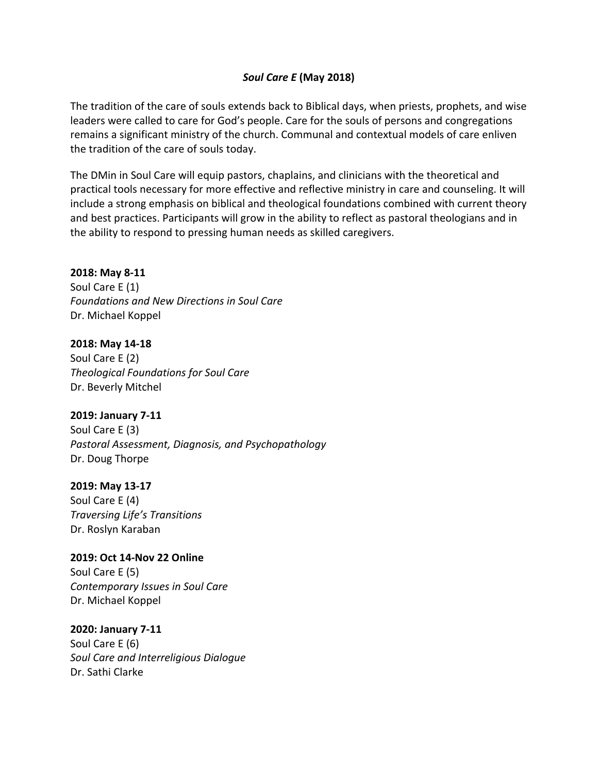## *Soul Care E* **(May 2018)**

The tradition of the care of souls extends back to Biblical days, when priests, prophets, and wise leaders were called to care for God's people. Care for the souls of persons and congregations remains a significant ministry of the church. Communal and contextual models of care enliven the tradition of the care of souls today.

The DMin in Soul Care will equip pastors, chaplains, and clinicians with the theoretical and practical tools necessary for more effective and reflective ministry in care and counseling. It will include a strong emphasis on biblical and theological foundations combined with current theory and best practices. Participants will grow in the ability to reflect as pastoral theologians and in the ability to respond to pressing human needs as skilled caregivers.

### **2018: May 8‐11**

Soul Care E (1) *Foundations and New Directions in Soul Care* Dr. Michael Koppel

## **2018: May 14‐18**

Soul Care E (2) *Theological Foundations for Soul Care* Dr. Beverly Mitchel

## **2019: January 7‐11**

Soul Care E (3) *Pastoral Assessment, Diagnosis, and Psychopathology* Dr. Doug Thorpe

#### **2019: May 13‐17**

Soul Care E (4) *Traversing Life's Transitions* Dr. Roslyn Karaban

## **2019: Oct 14‐Nov 22 Online**  Soul Care E (5) *Contemporary Issues in Soul Care* Dr. Michael Koppel

## **2020: January 7‐11**

Soul Care E (6) *Soul Care and Interreligious Dialogue*  Dr. Sathi Clarke